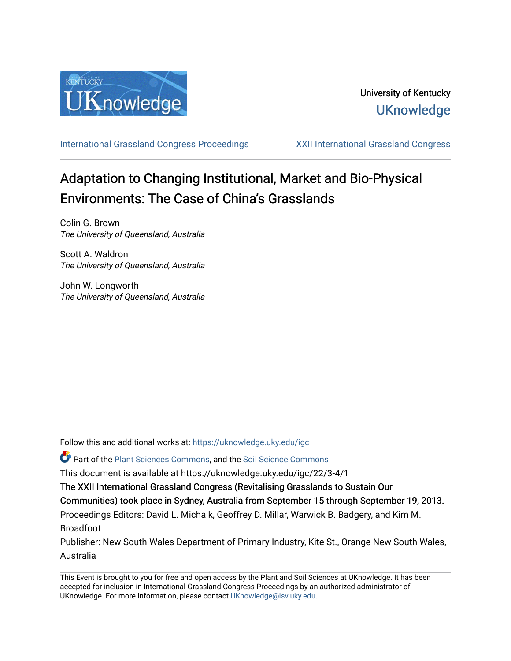

[International Grassland Congress Proceedings](https://uknowledge.uky.edu/igc) [XXII International Grassland Congress](https://uknowledge.uky.edu/igc/22) 

# Adaptation to Changing Institutional, Market and Bio-Physical Environments: The Case of China's Grasslands

Colin G. Brown The University of Queensland, Australia

Scott A. Waldron The University of Queensland, Australia

John W. Longworth The University of Queensland, Australia

Follow this and additional works at: [https://uknowledge.uky.edu/igc](https://uknowledge.uky.edu/igc?utm_source=uknowledge.uky.edu%2Figc%2F22%2F3-4%2F1&utm_medium=PDF&utm_campaign=PDFCoverPages) 

Part of the [Plant Sciences Commons](http://network.bepress.com/hgg/discipline/102?utm_source=uknowledge.uky.edu%2Figc%2F22%2F3-4%2F1&utm_medium=PDF&utm_campaign=PDFCoverPages), and the [Soil Science Commons](http://network.bepress.com/hgg/discipline/163?utm_source=uknowledge.uky.edu%2Figc%2F22%2F3-4%2F1&utm_medium=PDF&utm_campaign=PDFCoverPages) 

This document is available at https://uknowledge.uky.edu/igc/22/3-4/1

The XXII International Grassland Congress (Revitalising Grasslands to Sustain Our

Communities) took place in Sydney, Australia from September 15 through September 19, 2013.

Proceedings Editors: David L. Michalk, Geoffrey D. Millar, Warwick B. Badgery, and Kim M. Broadfoot

Publisher: New South Wales Department of Primary Industry, Kite St., Orange New South Wales, Australia

This Event is brought to you for free and open access by the Plant and Soil Sciences at UKnowledge. It has been accepted for inclusion in International Grassland Congress Proceedings by an authorized administrator of UKnowledge. For more information, please contact [UKnowledge@lsv.uky.edu](mailto:UKnowledge@lsv.uky.edu).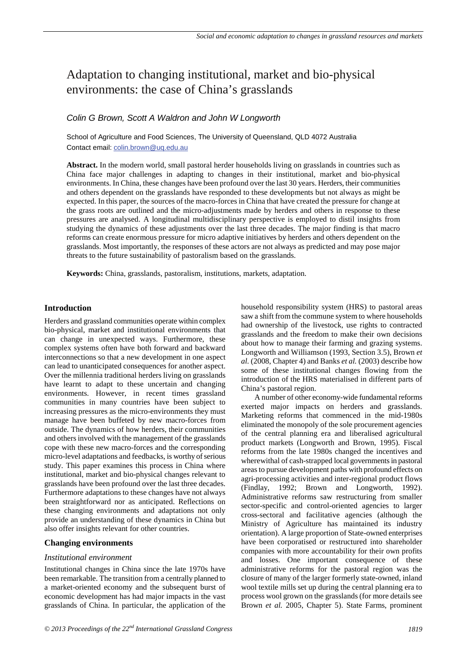# Adaptation to changing institutional, market and bio-physical environments: the case of China's grasslands

# *Colin G Brown, Scott A Waldron and John W Longworth*

School of Agriculture and Food Sciences, The University of Queensland, QLD 4072 Australia Contact email: colin.brown@uq.edu.au

**Abstract.** In the modern world, small pastoral herder households living on grasslands in countries such as China face major challenges in adapting to changes in their institutional, market and bio-physical environments. In China, these changes have been profound over the last 30 years. Herders, their communities and others dependent on the grasslands have responded to these developments but not always as might be expected. In this paper, the sources of the macro-forces in China that have created the pressure for change at the grass roots are outlined and the micro-adjustments made by herders and others in response to these pressures are analysed. A longitudinal multidisciplinary perspective is employed to distil insights from studying the dynamics of these adjustments over the last three decades. The major finding is that macro reforms can create enormous pressure for micro adaptive initiatives by herders and others dependent on the grasslands. Most importantly, the responses of these actors are not always as predicted and may pose major threats to the future sustainability of pastoralism based on the grasslands.

**Keywords:** China, grasslands, pastoralism, institutions, markets, adaptation.

# **Introduction**

Herders and grassland communities operate within complex bio-physical, market and institutional environments that can change in unexpected ways. Furthermore, these complex systems often have both forward and backward interconnections so that a new development in one aspect can lead to unanticipated consequences for another aspect. Over the millennia traditional herders living on grasslands have learnt to adapt to these uncertain and changing environments. However, in recent times grassland communities in many countries have been subject to increasing pressures as the micro-environments they must manage have been buffeted by new macro-forces from outside. The dynamics of how herders, their communities and others involved with the management of the grasslands cope with these new macro-forces and the corresponding micro-level adaptations and feedbacks, is worthy of serious study. This paper examines this process in China where institutional, market and bio-physical changes relevant to grasslands have been profound over the last three decades. Furthermore adaptations to these changes have not always been straightforward nor as anticipated. Reflections on these changing environments and adaptations not only provide an understanding of these dynamics in China but also offer insights relevant for other countries.

# **Changing environments**

# *Institutional environment*

Institutional changes in China since the late 1970s have been remarkable. The transition from a centrally planned to a market-oriented economy and the subsequent burst of economic development has had major impacts in the vast grasslands of China. In particular, the application of the

household responsibility system (HRS) to pastoral areas saw a shift from the commune system to where households had ownership of the livestock, use rights to contracted grasslands and the freedom to make their own decisions about how to manage their farming and grazing systems. Longworth and Williamson (1993, Section 3.5), Brown *et al.* (2008, Chapter 4) and Banks *et al.* (2003) describe how some of these institutional changes flowing from the introduction of the HRS materialised in different parts of China's pastoral region.

A number of other economy-wide fundamental reforms exerted major impacts on herders and grasslands. Marketing reforms that commenced in the mid-1980s eliminated the monopoly of the sole procurement agencies of the central planning era and liberalised agricultural product markets (Longworth and Brown, 1995). Fiscal reforms from the late 1980s changed the incentives and wherewithal of cash-strapped local governments in pastoral areas to pursue development paths with profound effects on agri-processing activities and inter-regional product flows (Findlay, 1992; Brown and Longworth, 1992). Administrative reforms saw restructuring from smaller sector-specific and control-oriented agencies to larger cross-sectoral and facilitative agencies (although the Ministry of Agriculture has maintained its industry orientation). A large proportion of State-owned enterprises have been corporatised or restructured into shareholder companies with more accountability for their own profits and losses. One important consequence of these administrative reforms for the pastoral region was the closure of many of the larger formerly state-owned, inland wool textile mills set up during the central planning era to process wool grown on the grasslands (for more details see Brown *et al.* 2005, Chapter 5). State Farms, prominent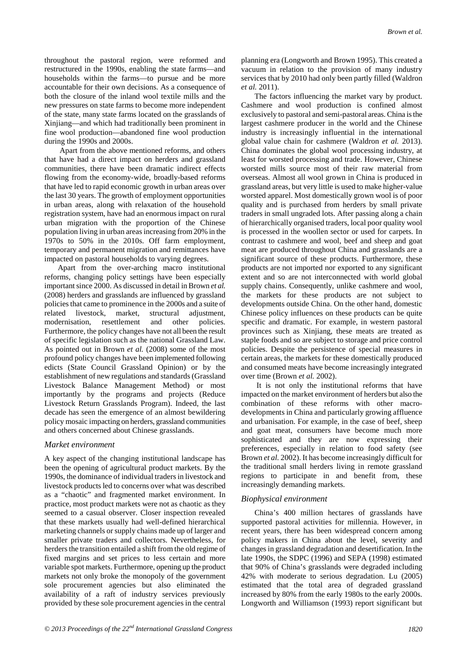throughout the pastoral region, were reformed and restructured in the 1990s, enabling the state farms—and households within the farms—to pursue and be more accountable for their own decisions. As a consequence of both the closure of the inland wool textile mills and the new pressures on state farms to become more independent of the state, many state farms located on the grasslands of Xinjiang—and which had traditionally been prominent in fine wool production—abandoned fine wool production during the 1990s and 2000s.

Apart from the above mentioned reforms, and others that have had a direct impact on herders and grassland communities, there have been dramatic indirect effects flowing from the economy-wide, broadly-based reforms that have led to rapid economic growth in urban areas over the last 30 years. The growth of employment opportunities in urban areas, along with relaxation of the household registration system, have had an enormous impact on rural urban migration with the proportion of the Chinese population living in urban areas increasing from 20% in the 1970s to 50% in the 2010s. Off farm employment, temporary and permanent migration and remittances have impacted on pastoral households to varying degrees.

Apart from the over-arching macro institutional reforms, changing policy settings have been especially important since 2000. As discussed in detail in Brown *et al.* (2008) herders and grasslands are influenced by grassland policies that came to prominence in the 2000s and a suite of related livestock, market, structural adjustment, modernisation, resettlement and other policies. Furthermore, the policy changes have not all been the result of specific legislation such as the national Grassland Law. As pointed out in Brown *et al.* (2008) some of the most profound policy changes have been implemented following edicts (State Council Grassland Opinion) or by the establishment of new regulations and standards (Grassland Livestock Balance Management Method) or most importantly by the programs and projects (Reduce Livestock Return Grasslands Program). Indeed, the last decade has seen the emergence of an almost bewildering policy mosaic impacting on herders, grassland communities and others concerned about Chinese grasslands.

# *Market environment*

A key aspect of the changing institutional landscape has been the opening of agricultural product markets. By the 1990s, the dominance of individual traders in livestock and livestock products led to concerns over what was described as a "chaotic" and fragmented market environment. In practice, most product markets were not as chaotic as they seemed to a casual observer. Closer inspection revealed that these markets usually had well-defined hierarchical marketing channels or supply chains made up of larger and smaller private traders and collectors. Nevertheless, for herders the transition entailed a shift from the old regime of fixed margins and set prices to less certain and more variable spot markets. Furthermore, opening up the product markets not only broke the monopoly of the government sole procurement agencies but also eliminated the availability of a raft of industry services previously provided by these sole procurement agencies in the central

planning era (Longworth and Brown 1995). This created a vacuum in relation to the provision of many industry services that by 2010 had only been partly filled (Waldron *et al.* 2011).

The factors influencing the market vary by product. Cashmere and wool production is confined almost exclusively to pastoral and semi-pastoral areas. China is the largest cashmere producer in the world and the Chinese industry is increasingly influential in the international global value chain for cashmere (Waldron *et al.* 2013). China dominates the global wool processing industry, at least for worsted processing and trade. However, Chinese worsted mills source most of their raw material from overseas. Almost all wool grown in China is produced in grassland areas, but very little is used to make higher-value worsted apparel. Most domestically grown wool is of poor quality and is purchased from herders by small private traders in small ungraded lots. After passing along a chain of hierarchically organised traders, local poor quality wool is processed in the woollen sector or used for carpets. In contrast to cashmere and wool, beef and sheep and goat meat are produced throughout China and grasslands are a significant source of these products. Furthermore, these products are not imported nor exported to any significant extent and so are not interconnected with world global supply chains. Consequently, unlike cashmere and wool, the markets for these products are not subject to developments outside China. On the other hand, domestic Chinese policy influences on these products can be quite specific and dramatic. For example, in western pastoral provinces such as Xinjiang, these meats are treated as staple foods and so are subject to storage and price control policies. Despite the persistence of special measures in certain areas, the markets for these domestically produced and consumed meats have become increasingly integrated over time (Brown *et al.* 2002).

It is not only the institutional reforms that have impacted on the market environment of herders but also the combination of these reforms with other macrodevelopments in China and particularly growing affluence and urbanisation. For example, in the case of beef, sheep and goat meat, consumers have become much more sophisticated and they are now expressing their preferences, especially in relation to food safety (see Brown *et al.* 2002). It has become increasingly difficult for the traditional small herders living in remote grassland regions to participate in and benefit from, these increasingly demanding markets.

# *Biophysical environment*

China's 400 million hectares of grasslands have supported pastoral activities for millennia. However, in recent years, there has been widespread concern among policy makers in China about the level, severity and changes in grassland degradation and desertification. In the late 1990s, the SDPC (1996) and SEPA (1998) estimated that 90% of China's grasslands were degraded including 42% with moderate to serious degradation. Lu (2005) estimated that the total area of degraded grassland increased by 80% from the early 1980s to the early 2000s. Longworth and Williamson (1993) report significant but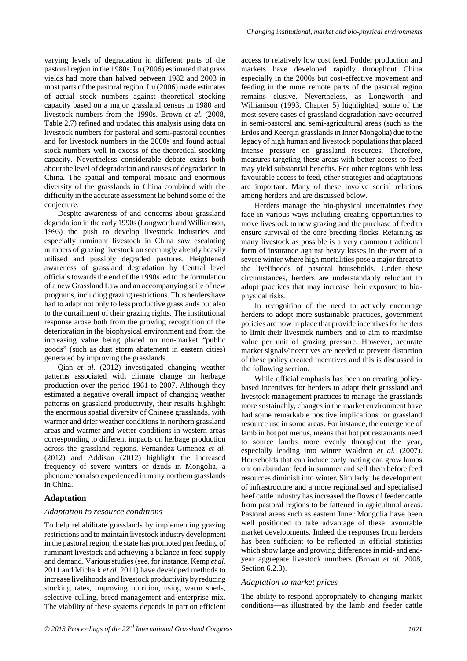varying levels of degradation in different parts of the pastoral region in the 1980s. Lu (2006) estimated that grass yields had more than halved between 1982 and 2003 in most parts of the pastoral region. Lu (2006) made estimates of actual stock numbers against theoretical stocking capacity based on a major grassland census in 1980 and livestock numbers from the 1990s. Brown *et al.* (2008, Table 2.7) refined and updated this analysis using data on livestock numbers for pastoral and semi-pastoral counties and for livestock numbers in the 2000s and found actual stock numbers well in excess of the theoretical stocking capacity. Nevertheless considerable debate exists both about the level of degradation and causes of degradation in China. The spatial and temporal mosaic and enormous diversity of the grasslands in China combined with the difficulty in the accurate assessment lie behind some of the conjecture.

Despite awareness of and concerns about grassland degradation in the early 1990s (Longworth and Williamson, 1993) the push to develop livestock industries and especially ruminant livestock in China saw escalating numbers of grazing livestock on seemingly already heavily utilised and possibly degraded pastures. Heightened awareness of grassland degradation by Central level officials towards the end of the 1990s led to the formulation of a new Grassland Law and an accompanying suite of new programs, including grazing restrictions. Thus herders have had to adapt not only to less productive grasslands but also to the curtailment of their grazing rights. The institutional response arose both from the growing recognition of the deterioration in the biophysical environment and from the increasing value being placed on non-market "public goods" (such as dust storm abatement in eastern cities) generated by improving the grasslands.

Qian *et al*. (2012) investigated changing weather patterns associated with climate change on herbage production over the period 1961 to 2007. Although they estimated a negative overall impact of changing weather patterns on grassland productivity, their results highlight the enormous spatial diversity of Chinese grasslands, with warmer and drier weather conditions in northern grassland areas and warmer and wetter conditions in western areas corresponding to different impacts on herbage production across the grassland regions. Fernandez-Gimenez *et al.* (2012) and Addison (2012) highlight the increased frequency of severe winters or dzuds in Mongolia, a phenomenon also experienced in many northern grasslands in China.

#### **Adaptation**

#### *Adaptation to resource conditions*

To help rehabilitate grasslands by implementing grazing restrictions and to maintain livestock industry development in the pastoral region, the state has promoted pen feeding of ruminant livestock and achieving a balance in feed supply and demand. Various studies (see, for instance, Kemp *et al.* 2011 and Michalk *et al.* 2011) have developed methods to increase livelihoods and livestock productivity by reducing stocking rates, improving nutrition, using warm sheds, selective culling, breed management and enterprise mix. The viability of these systems depends in part on efficient

access to relatively low cost feed. Fodder production and markets have developed rapidly throughout China especially in the 2000s but cost-effective movement and feeding in the more remote parts of the pastoral region remains elusive. Nevertheless, as Longworth and Williamson (1993, Chapter 5) highlighted, some of the most severe cases of grassland degradation have occurred in semi-pastoral and semi-agricultural areas (such as the Erdos and Keerqin grasslands in Inner Mongolia) due to the legacy of high human and livestock populations that placed intense pressure on grassland resources. Therefore, measures targeting these areas with better access to feed may yield substantial benefits. For other regions with less favourable access to feed, other strategies and adaptations are important. Many of these involve social relations among herders and are discussed below.

Herders manage the bio-physical uncertainties they face in various ways including creating opportunities to move livestock to new grazing and the purchase of feed to ensure survival of the core breeding flocks. Retaining as many livestock as possible is a very common traditional form of insurance against heavy losses in the event of a severe winter where high mortalities pose a major threat to the livelihoods of pastoral households. Under these circumstances, herders are understandably reluctant to adopt practices that may increase their exposure to biophysical risks.

In recognition of the need to actively encourage herders to adopt more sustainable practices, government policies are now in place that provide incentives for herders to limit their livestock numbers and to aim to maximise value per unit of grazing pressure. However, accurate market signals/incentives are needed to prevent distortion of these policy created incentives and this is discussed in the following section.

While official emphasis has been on creating policybased incentives for herders to adapt their grassland and livestock management practices to manage the grasslands more sustainably, changes in the market environment have had some remarkable positive implications for grassland resource use in some areas. For instance, the emergence of lamb in hot pot menus, means that hot pot restaurants need to source lambs more evenly throughout the year, especially leading into winter Waldron *et al.* (2007). Households that can induce early mating can grow lambs out on abundant feed in summer and sell them before feed resources diminish into winter. Similarly the development of infrastructure and a more regionalised and specialised beef cattle industry has increased the flows of feeder cattle from pastoral regions to be fattened in agricultural areas. Pastoral areas such as eastern Inner Mongolia have been well positioned to take advantage of these favourable market developments. Indeed the responses from herders has been sufficient to be reflected in official statistics which show large and growing differences in mid- and endyear aggregate livestock numbers (Brown *et al.* 2008, Section 6.2.3).

#### *Adaptation to market prices*

The ability to respond appropriately to changing market conditions—as illustrated by the lamb and feeder cattle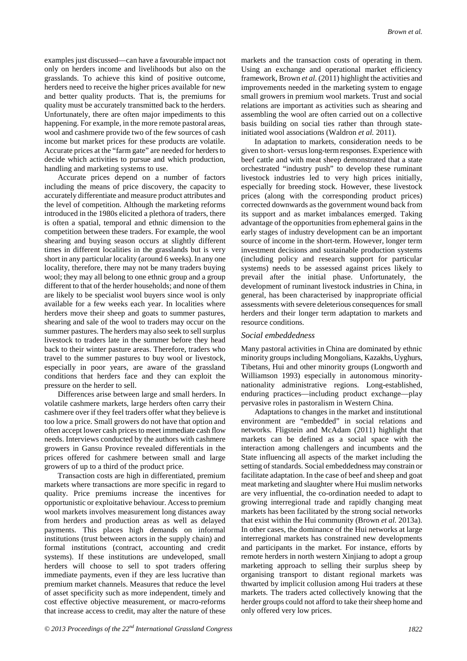examples just discussed—can have a favourable impact not only on herders income and livelihoods but also on the grasslands. To achieve this kind of positive outcome, herders need to receive the higher prices available for new and better quality products. That is, the premiums for quality must be accurately transmitted back to the herders. Unfortunately, there are often major impediments to this happening. For example, in the more remote pastoral areas, wool and cashmere provide two of the few sources of cash income but market prices for these products are volatile. Accurate prices at the "farm gate" are needed for herders to decide which activities to pursue and which production, handling and marketing systems to use.

Accurate prices depend on a number of factors including the means of price discovery, the capacity to accurately differentiate and measure product attributes and the level of competition. Although the marketing reforms introduced in the 1980s elicited a plethora of traders, there is often a spatial, temporal and ethnic dimension to the competition between these traders. For example, the wool shearing and buying season occurs at slightly different times in different localities in the grasslands but is very short in any particular locality (around 6 weeks). In any one locality, therefore, there may not be many traders buying wool; they may all belong to one ethnic group and a group different to that of the herder households; and none of them are likely to be specialist wool buyers since wool is only available for a few weeks each year. In localities where herders move their sheep and goats to summer pastures, shearing and sale of the wool to traders may occur on the summer pastures. The herders may also seek to sell surplus livestock to traders late in the summer before they head back to their winter pasture areas. Therefore, traders who travel to the summer pastures to buy wool or livestock, especially in poor years, are aware of the grassland conditions that herders face and they can exploit the pressure on the herder to sell.

Differences arise between large and small herders. In volatile cashmere markets, large herders often carry their cashmere over if they feel traders offer what they believe is too low a price. Small growers do not have that option and often accept lower cash prices to meet immediate cash flow needs. Interviews conducted by the authors with cashmere growers in Gansu Province revealed differentials in the prices offered for cashmere between small and large growers of up to a third of the product price.

Transaction costs are high in differentiated, premium markets where transactions are more specific in regard to quality. Price premiums increase the incentives for opportunistic or exploitative behaviour. Access to premium wool markets involves measurement long distances away from herders and production areas as well as delayed payments. This places high demands on informal institutions (trust between actors in the supply chain) and formal institutions (contract, accounting and credit systems). If these institutions are undeveloped, small herders will choose to sell to spot traders offering immediate payments, even if they are less lucrative than premium market channels. Measures that reduce the level of asset specificity such as more independent, timely and cost effective objective measurement, or macro-reforms that increase access to credit, may alter the nature of these

markets and the transaction costs of operating in them. Using an exchange and operational market efficiency framework, Brown *et al.* (2011) highlight the activities and improvements needed in the marketing system to engage small growers in premium wool markets. Trust and social relations are important as activities such as shearing and assembling the wool are often carried out on a collective basis building on social ties rather than through stateinitiated wool associations (Waldron *et al.* 2011).

In adaptation to markets, consideration needs to be given to short- versus long-term responses. Experience with beef cattle and with meat sheep demonstrated that a state orchestrated "industry push" to develop these ruminant livestock industries led to very high prices initially, especially for breeding stock. However, these livestock prices (along with the corresponding product prices) corrected downwards as the government wound back from its support and as market imbalances emerged. Taking advantage of the opportunities from ephemeral gains in the early stages of industry development can be an important source of income in the short-term. However, longer term investment decisions and sustainable production systems (including policy and research support for particular systems) needs to be assessed against prices likely to prevail after the initial phase. Unfortunately, the development of ruminant livestock industries in China, in general, has been characterised by inappropriate official assessments with severe deleterious consequences for small herders and their longer term adaptation to markets and resource conditions.

#### *Social embeddedness*

Many pastoral activities in China are dominated by ethnic minority groups including Mongolians, Kazakhs, Uyghurs, Tibetans, Hui and other minority groups (Longworth and Williamson 1993) especially in autonomous minoritynationality administrative regions. Long-established, enduring practices—including product exchange—play pervasive roles in pastoralism in Western China.

Adaptations to changes in the market and institutional environment are "embedded" in social relations and networks. Fligstein and McAdam (2011) highlight that markets can be defined as a social space with the interaction among challengers and incumbents and the State influencing all aspects of the market including the setting of standards. Social embeddedness may constrain or facilitate adaptation. In the case of beef and sheep and goat meat marketing and slaughter where Hui muslim networks are very influential, the co-ordination needed to adapt to growing interregional trade and rapidly changing meat markets has been facilitated by the strong social networks that exist within the Hui community (Brown *et al.* 2013a). In other cases, the dominance of the Hui networks at large interregional markets has constrained new developments and participants in the market. For instance, efforts by remote herders in north western Xinjiang to adopt a group marketing approach to selling their surplus sheep by organising transport to distant regional markets was thwarted by implicit collusion among Hui traders at these markets. The traders acted collectively knowing that the herder groups could not afford to take their sheep home and only offered very low prices.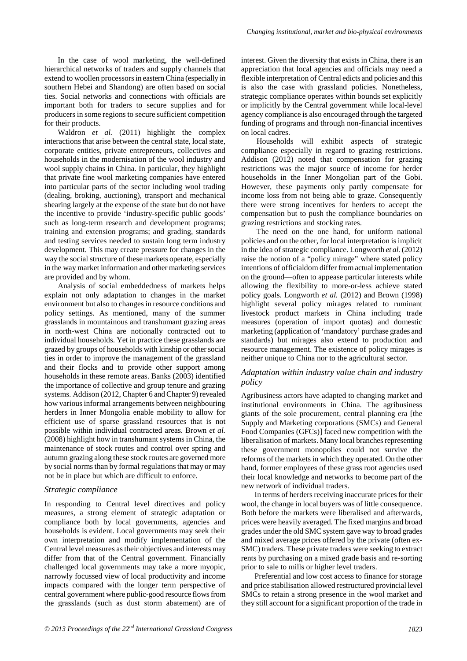In the case of wool marketing, the well-defined hierarchical networks of traders and supply channels that extend to woollen processors in eastern China (especially in southern Hebei and Shandong) are often based on social ties. Social networks and connections with officials are important both for traders to secure supplies and for producers in some regions to secure sufficient competition for their products.

Waldron *et al.* (2011) highlight the complex interactions that arise between the central state, local state, corporate entities, private entrepreneurs, collectives and households in the modernisation of the wool industry and wool supply chains in China. In particular, they highlight that private fine wool marketing companies have entered into particular parts of the sector including wool trading (dealing, broking, auctioning), transport and mechanical shearing largely at the expense of the state but do not have the incentive to provide 'industry-specific public goods' such as long-term research and development programs; training and extension programs; and grading, standards and testing services needed to sustain long term industry development. This may create pressure for changes in the way the social structure of these markets operate, especially in the way market information and other marketing services are provided and by whom.

Analysis of social embeddedness of markets helps explain not only adaptation to changes in the market environment but also to changes in resource conditions and policy settings. As mentioned, many of the summer grasslands in mountainous and transhumant grazing areas in north-west China are notionally contracted out to individual households. Yet in practice these grasslands are grazed by groups of households with kinship or other social ties in order to improve the management of the grassland and their flocks and to provide other support among households in these remote areas. Banks (2003) identified the importance of collective and group tenure and grazing systems. Addison (2012, Chapter 6 and Chapter 9) revealed how various informal arrangements between neighbouring herders in Inner Mongolia enable mobility to allow for efficient use of sparse grassland resources that is not possible within individual contracted areas. Brown *et al.* (2008) highlight how in transhumant systems in China, the maintenance of stock routes and control over spring and autumn grazing along these stock routes are governed more by social norms than by formal regulations that may or may not be in place but which are difficult to enforce.

# *Strategic compliance*

In responding to Central level directives and policy measures, a strong element of strategic adaptation or compliance both by local governments, agencies and households is evident. Local governments may seek their own interpretation and modify implementation of the Central level measures as their objectives and interests may differ from that of the Central government. Financially challenged local governments may take a more myopic, narrowly focussed view of local productivity and income impacts compared with the longer term perspective of central government where public-good resource flows from the grasslands (such as dust storm abatement) are of

interest. Given the diversity that exists in China, there is an appreciation that local agencies and officials may need a flexible interpretation of Central edicts and policies and this is also the case with grassland policies. Nonetheless, strategic compliance operates within bounds set explicitly or implicitly by the Central government while local-level agency compliance is also encouraged through the targeted funding of programs and through non-financial incentives on local cadres.

Households will exhibit aspects of strategic compliance especially in regard to grazing restrictions. Addison (2012) noted that compensation for grazing restrictions was the major source of income for herder households in the Inner Mongolian part of the Gobi. However, these payments only partly compensate for income loss from not being able to graze. Consequently there were strong incentives for herders to accept the compensation but to push the compliance boundaries on grazing restrictions and stocking rates.

The need on the one hand, for uniform national policies and on the other, for local interpretation is implicit in the idea of strategic compliance. Longworth *et al.* (2012) raise the notion of a "policy mirage" where stated policy intentions of officialdom differ from actual implementation on the ground—often to appease particular interests while allowing the flexibility to more-or-less achieve stated policy goals. Longworth *et al.* (2012) and Brown (1998) highlight several policy mirages related to ruminant livestock product markets in China including trade measures (operation of import quotas) and domestic marketing (application of 'mandatory' purchase grades and standards) but mirages also extend to production and resource management. The existence of policy mirages is neither unique to China nor to the agricultural sector.

### *Adaptation within industry value chain and industry policy*

Agribusiness actors have adapted to changing market and institutional environments in China. The agribusiness giants of the sole procurement, central planning era [the Supply and Marketing corporations (SMCs) and General Food Companies (GFCs)] faced new competition with the liberalisation of markets. Many local branches representing these government monopolies could not survive the reforms of the markets in which they operated. On the other hand, former employees of these grass root agencies used their local knowledge and networks to become part of the new network of individual traders.

In terms of herders receiving inaccurate prices for their wool, the change in local buyers was of little consequence. Both before the markets were liberalised and afterwards, prices were heavily averaged. The fixed margins and broad grades under the old SMC system gave way to broad grades and mixed average prices offered by the private (often ex-SMC) traders. These private traders were seeking to extract rents by purchasing on a mixed grade basis and re-sorting prior to sale to mills or higher level traders.

Preferential and low cost access to finance for storage and price stabilisation allowed restructured provincial level SMCs to retain a strong presence in the wool market and they still account for a significant proportion of the trade in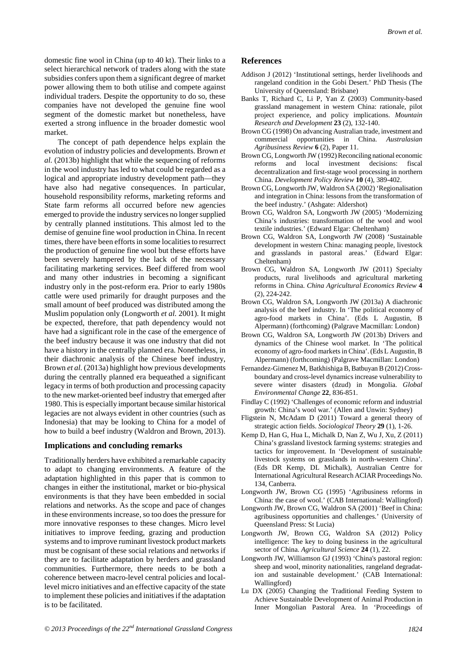domestic fine wool in China (up to 40 kt). Their links to a select hierarchical network of traders along with the state subsidies confers upon them a significant degree of market power allowing them to both utilise and compete against individual traders. Despite the opportunity to do so, these companies have not developed the genuine fine wool segment of the domestic market but nonetheless, have exerted a strong influence in the broader domestic wool market.

The concept of path dependence helps explain the evolution of industry policies and developments. Brown *et al.* (2013b) highlight that while the sequencing of reforms in the wool industry has led to what could be regarded as a logical and appropriate industry development path—they have also had negative consequences. In particular, household responsibility reforms, marketing reforms and State farm reforms all occurred before new agencies emerged to provide the industry services no longer supplied by centrally planned institutions. This almost led to the demise of genuine fine wool production in China. In recent times, there have been efforts in some localities to resurrect the production of genuine fine wool but these efforts have been severely hampered by the lack of the necessary facilitating marketing services. Beef differed from wool and many other industries in becoming a significant industry only in the post-reform era. Prior to early 1980s cattle were used primarily for draught purposes and the small amount of beef produced was distributed among the Muslim population only (Longworth *et al.* 2001). It might be expected, therefore, that path dependency would not have had a significant role in the case of the emergence of the beef industry because it was one industry that did not have a history in the centrally planned era. Nonetheless, in their diachronic analysis of the Chinese beef industry, Brown *et al.* (2013a) highlight how previous developments during the centrally planned era bequeathed a significant legacy in terms of both production and processing capacity to the new market-oriented beef industry that emerged after 1980. This is especially important because similar historical legacies are not always evident in other countries (such as Indonesia) that may be looking to China for a model of how to build a beef industry (Waldron and Brown, 2013).

# **Implications and concluding remarks**

Traditionally herders have exhibited a remarkable capacity to adapt to changing environments. A feature of the adaptation highlighted in this paper that is common to changes in either the institutional, market or bio-physical environments is that they have been embedded in social relations and networks. As the scope and pace of changes in these environments increase, so too does the pressure for more innovative responses to these changes. Micro level initiatives to improve feeding, grazing and production systems and to improve ruminant livestock product markets must be cognisant of these social relations and networks if they are to facilitate adaptation by herders and grassland communities. Furthermore, there needs to be both a coherence between macro-level central policies and locallevel micro initiatives and an effective capacity of the state to implement these policies and initiatives if the adaptation is to be facilitated.

# **References**

- Addison J (2012) 'Institutional settings, herder livelihoods and rangeland condition in the Gobi Desert.' PhD Thesis (The University of Queensland: Brisbane)
- Banks T, Richard C, Li P, Yan Z (2003) Community-based grassland management in western China: rationale, pilot project experience, and policy implications. *Mountain Research and Development* **23** (2), 132-140.
- Brown CG (1998) On advancing Australian trade, investment and commercial opportunities in China. *Australasian Agribusiness Review* **6** (2), Paper 11.
- Brown CG, Longworth JW (1992) Reconciling national economic reforms and local investment decisions: fiscal decentralization and first-stage wool processing in northern China. *Development Policy Review* **10** (4), 389-402.
- Brown CG, Longworth JW, Waldron SA (2002) 'Regionalisation and integration in China: lessons from the transformation of the beef industry.' (Ashgate: Aldershot)
- Brown CG, Waldron SA, Longworth JW (2005) 'Modernizing China's industries: transformation of the wool and wool textile industries.' (Edward Elgar: Cheltenham)
- Brown CG, Waldron SA, Longworth JW (2008) 'Sustainable development in western China: managing people, livestock and grasslands in pastoral areas.' (Edward Elgar: Cheltenham)
- Brown CG, Waldron SA, Longworth JW (2011) Specialty products, rural livelihoods and agricultural marketing reforms in China. *China Agricultural Economics Review* **4**  (2), 224-242.
- Brown CG, Waldron SA, Longworth JW (2013a) A diachronic analysis of the beef industry. In 'The political economy of agro-food markets in China'. (Eds L Augustin, B Alpermann) (forthcoming) (Palgrave Macmillan: London)
- Brown CG, Waldron SA, Longworth JW (2013b) Drivers and dynamics of the Chinese wool market. In 'The political economy of agro-food markets in China'. (Eds L Augustin, B Alpermann) (forthcoming) (Palgrave Macmillan: London)
- Fernandez-Gimenez M, Batkhishiga B, Batbuyan B (2012) Crossboundary and cross-level dynamics increase vulnerability to severe winter disasters (dzud) in Mongolia. *Global Environmental Change* **22**, 836-851.
- Findlay C (1992) 'Challenges of economic reform and industrial growth: China's wool war.' (Allen and Unwin: Sydney)
- Fligstein N, McAdam D (2011) Toward a general theory of strategic action fields. *Sociological Theory* **29** (1), 1-26.
- Kemp D, Han G, Hua L, Michalk D, Nan Z, Wu J, Xu, Z (2011) China's grassland livestock farming systems: strategies and tactics for improvement. In 'Development of sustainable livestock systems on grasslands in north-western China'. (Eds DR Kemp, DL Michalk), Australian Centre for International Agricultural Research ACIAR Proceedings No. 134, Canberra.
- Longworth JW, Brown CG (1995) 'Agribusiness reforms in China: the case of wool.' (CAB International: Wallingford)
- Longworth JW, Brown CG, Waldron SA (2001) 'Beef in China: agribusiness opportunities and challenges.' (University of Queensland Press: St Lucia)
- Longworth JW, Brown CG, Waldron SA (2012) Policy intelligence: The key to doing business in the agricultural sector of China. *Agricultural Science* **24** (1), 22.
- Longworth JW, Williamson GJ (1993) 'China's pastoral region: sheep and wool, minority nationalities, rangeland degradation and sustainable development.' (CAB International: Wallingford)
- Lu DX (2005) Changing the Traditional Feeding System to Achieve Sustainable Development of Animal Production in Inner Mongolian Pastoral Area. In 'Proceedings of